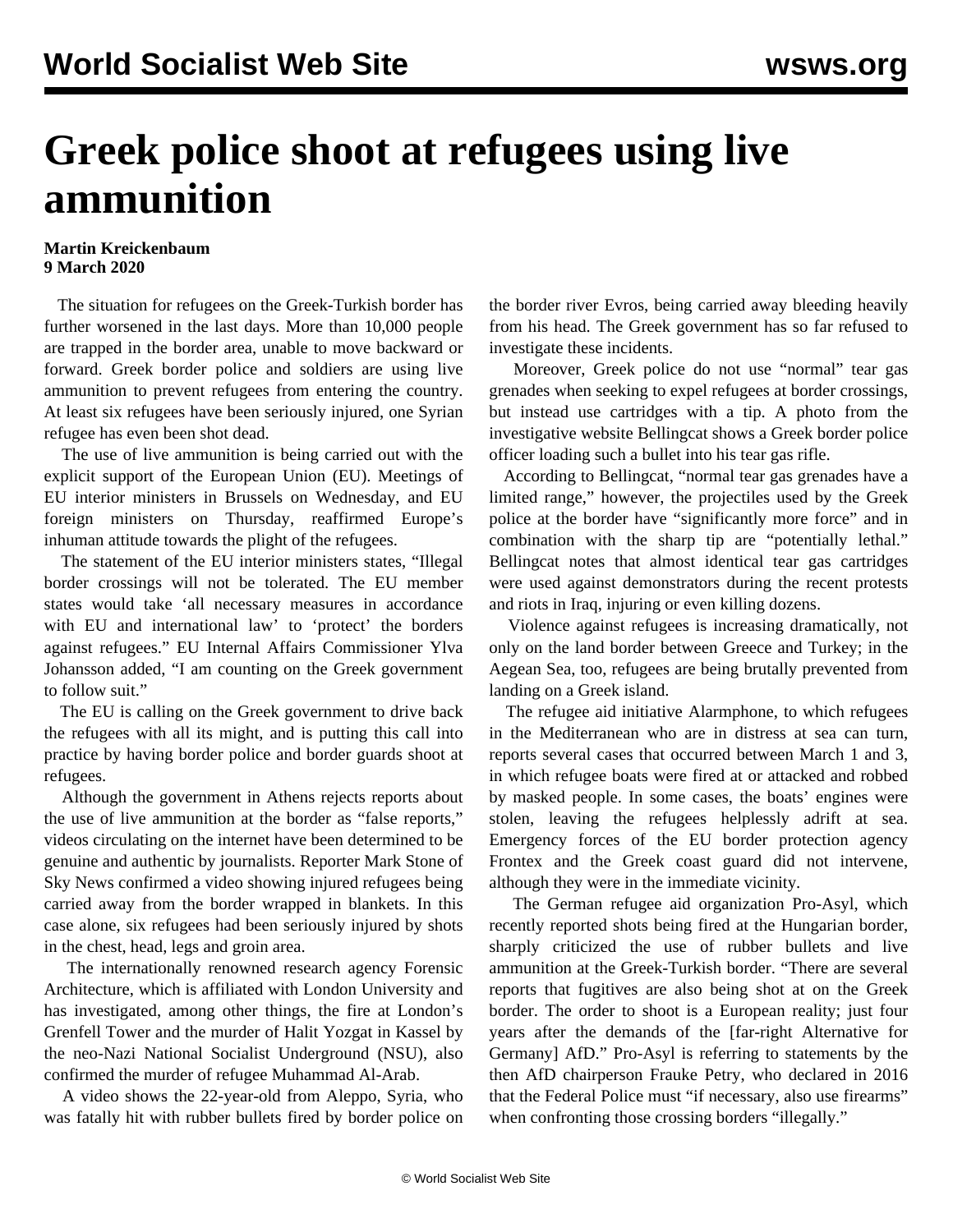## **Greek police shoot at refugees using live ammunition**

## **Martin Kreickenbaum 9 March 2020**

 The situation for refugees on the Greek-Turkish border has further worsened in the last days. More than 10,000 people are trapped in the border area, unable to move backward or forward. Greek border police and soldiers are using live ammunition to prevent refugees from entering the country. At least six refugees have been seriously injured, one Syrian refugee has even been shot dead.

 The use of live ammunition is being carried out with the explicit support of the European Union (EU). Meetings of EU interior ministers in Brussels on Wednesday, and EU foreign ministers on Thursday, reaffirmed Europe's inhuman attitude towards the plight of the refugees.

 The statement of the EU interior ministers states, "Illegal border crossings will not be tolerated. The EU member states would take 'all necessary measures in accordance with EU and international law' to 'protect' the borders against refugees." EU Internal Affairs Commissioner Ylva Johansson added, "I am counting on the Greek government to follow suit."

 The EU is calling on the Greek government to drive back the refugees with all its might, and is putting this call into practice by having border police and border guards shoot at refugees.

 Although the government in Athens rejects reports about the use of live ammunition at the border as "false reports," videos circulating on the internet have been determined to be genuine and authentic by journalists. Reporter Mark Stone of Sky News confirmed a video showing injured refugees being carried away from the border wrapped in blankets. In this case alone, six refugees had been seriously injured by shots in the chest, head, legs and groin area.

 The internationally renowned research agency Forensic Architecture, which is affiliated with London University and has investigated, among other things, the fire at London's Grenfell Tower and the murder of Halit Yozgat in Kassel by the neo-Nazi National Socialist Underground (NSU), also confirmed the murder of refugee Muhammad Al-Arab.

 A [video](https://vimeo.com/395567226) shows the 22-year-old from Aleppo, Syria, who was fatally hit with rubber bullets fired by border police on the border river Evros, being carried away bleeding heavily from his head. The Greek government has so far refused to investigate these incidents.

 Moreover, Greek police do not use "normal" tear gas grenades when seeking to expel refugees at border crossings, but instead use cartridges with a tip. A photo from the investigative website Bellingcat shows a Greek border police officer loading such a bullet into his tear gas rifle.

 According to Bellingcat, "normal tear gas grenades have a limited range," however, the projectiles used by the Greek police at the border have "significantly more force" and in combination with the sharp tip are "potentially lethal." Bellingcat notes that almost identical tear gas cartridges were used against demonstrators during the recent protests and riots in Iraq, injuring or even killing dozens.

 Violence against refugees is increasing dramatically, not only on the land border between Greece and Turkey; in the Aegean Sea, too, refugees are being brutally prevented from landing on a Greek island.

 The refugee aid initiative Alarmphone, to which refugees in the Mediterranean who are in distress at sea can turn, reports several cases that occurred between March 1 and 3, in which refugee boats were fired at or attacked and robbed by masked people. In some cases, the boats' engines were stolen, leaving the refugees helplessly adrift at sea. Emergency forces of the EU border protection agency Frontex and the Greek coast guard did not intervene, although they were in the immediate vicinity.

 The German refugee aid organization Pro-Asyl, which recently reported shots being fired at the Hungarian border, sharply criticized the use of rubber bullets and live ammunition at the Greek-Turkish border. "There are several reports that fugitives are also being shot at on the Greek border. The order to shoot is a European reality; just four years after the demands of the [far-right Alternative for Germany] AfD." Pro-Asyl is referring to statements by the then AfD chairperson Frauke Petry, who [declared](/en/articles/2016/02/03/refu-f03.html) in 2016 that the Federal Police must "if necessary, also use firearms" when confronting those crossing borders "illegally."